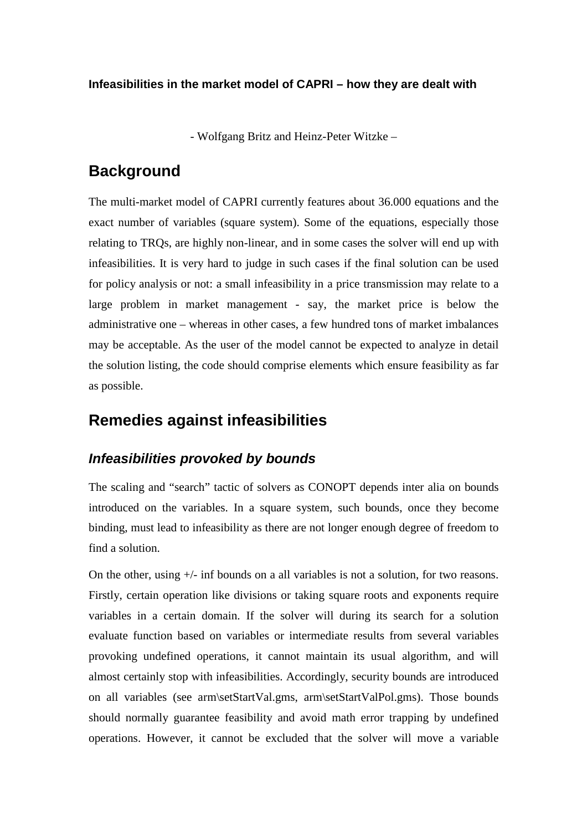**Infeasibilities in the market model of CAPRI – how they are dealt with**

- Wolfgang Britz and Heinz-Peter Witzke –

### **Background**

The multi-market model of CAPRI currently features about 36.000 equations and the exact number of variables (square system). Some of the equations, especially those relating to TRQs, are highly non-linear, and in some cases the solver will end up with infeasibilities. It is very hard to judge in such cases if the final solution can be used for policy analysis or not: a small infeasibility in a price transmission may relate to a large problem in market management - say, the market price is below the administrative one – whereas in other cases, a few hundred tons of market imbalances may be acceptable. As the user of the model cannot be expected to analyze in detail the solution listing, the code should comprise elements which ensure feasibility as far as possible.

## **Remedies against infeasibilities**

#### *Infeasibilities provoked by bounds*

The scaling and "search" tactic of solvers as CONOPT depends inter alia on bounds introduced on the variables. In a square system, such bounds, once they become binding, must lead to infeasibility as there are not longer enough degree of freedom to find a solution.

On the other, using +/- inf bounds on a all variables is not a solution, for two reasons. Firstly, certain operation like divisions or taking square roots and exponents require variables in a certain domain. If the solver will during its search for a solution evaluate function based on variables or intermediate results from several variables provoking undefined operations, it cannot maintain its usual algorithm, and will almost certainly stop with infeasibilities. Accordingly, security bounds are introduced on all variables (see arm\setStartVal.gms, arm\setStartValPol.gms). Those bounds should normally guarantee feasibility and avoid math error trapping by undefined operations. However, it cannot be excluded that the solver will move a variable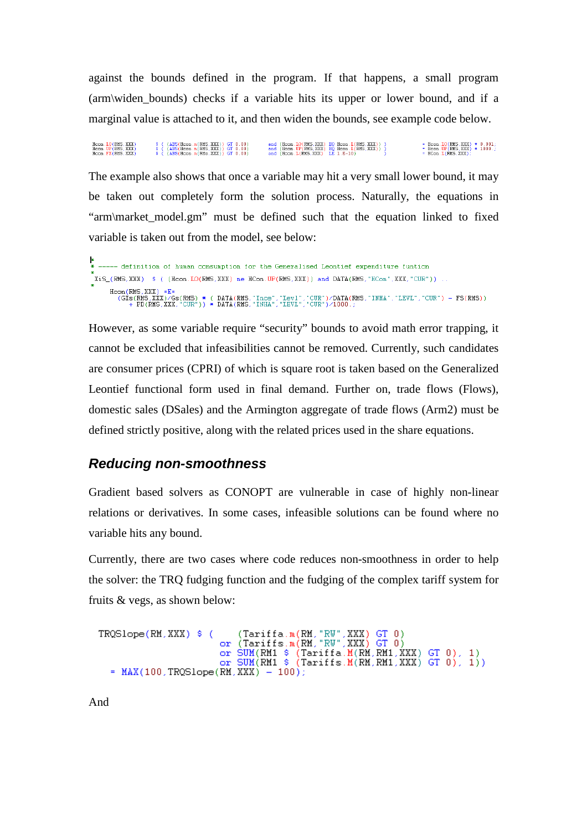against the bounds defined in the program. If that happens, a small program (arm\widen\_bounds) checks if a variable hits its upper or lower bound, and if a marginal value is attached to it, and then widen the bounds, see example code below.

= Hoon.LO(RMS, XXX) \* 0.001;<br>= Hoon.UP(RMS, XXX) \* 1000.;<br>= HCon.L(RMS, XXX); S ((ABS(Hcon. n(RMS, XXX)) GT 0.00) and (Hcon. LO(RMS, XXX) EQ Hcon. L(RMS, XXX)) )<br>S ((ABS(Hcon. n(RMS, XXX)) GT 0.00) and (Hcon. UP(RMS, XXX) EQ Hcon. L(RMS, XXX)) )<br>S ((ABS(Hcon. n(RMs, XXX)) GT 0.00) and (Hcon. L(RMS,  $\begin{array}{lll} \text{Hcon.} \text{LO}(\text{RMS.} \text{XXX}) \\ \text{Hcon.} \text{UP}(\text{RMS.} \text{XXX}) \\ \text{Hence.} \text{EN}(\text{NMS.} \text{XXX}) \end{array}$ 

The example also shows that once a variable may hit a very small lower bound, it may be taken out completely form the solution process. Naturally, the equations in "arm\market\_model.gm" must be defined such that the equation linked to fixed variable is taken out from the model, see below:

```
-- definition of human consumption for the Generalised Leontief expenditure funtion
*<br>XiS_(RMS,XXX) $ ((Hcon,LO(RMS,XXX) ne HCon,UP(RMS,XXX)) and DATA(RMS,"HCon",XXX,"CUR")).
     Hoon(RMS,XXX) =E=<br>(GIs(RMS,XXX)/Gs(RMS) * ( DATA(RMS,"Ince","Levl","CUR")/DATA(RMS,"INHA","LEVL","CUR") - FS(RMS))<br>+ PD(RMS,XXX,"CUR")) * DATA(RMS,"INHA","LEVL","CUR")/1000.;
```
However, as some variable require "security" bounds to avoid math error trapping, it cannot be excluded that infeasibilities cannot be removed. Currently, such candidates are consumer prices (CPRI) of which is square root is taken based on the Generalized Leontief functional form used in final demand. Further on, trade flows (Flows), domestic sales (DSales) and the Armington aggregate of trade flows (Arm2) must be defined strictly positive, along with the related prices used in the share equations.

#### *Reducing non-smoothness*

Gradient based solvers as CONOPT are vulnerable in case of highly non-linear relations or derivatives. In some cases, infeasible solutions can be found where no variable hits any bound.

Currently, there are two cases where code reduces non-smoothness in order to help the solver: the TRQ fudging function and the fudging of the complex tariff system for fruits & vegs, as shown below:

```
(Tariffa.m(RM,"RW",XXX) GT 0)<br>or (Tariffs.m(RM,"RW",XXX) GT 0)<br>or SUM(RM1 $ (Tariffa.M(RM,RM1,XXX) GT 0), 1)<br>or SUM(RM1 $ (Tariffs.M(RM,RM1,XXX) GT 0), 1))
TRQSlope(RM, XXX) $ (
    = MAX(100, TRQSlope(RM, XXX) - 100);
```
And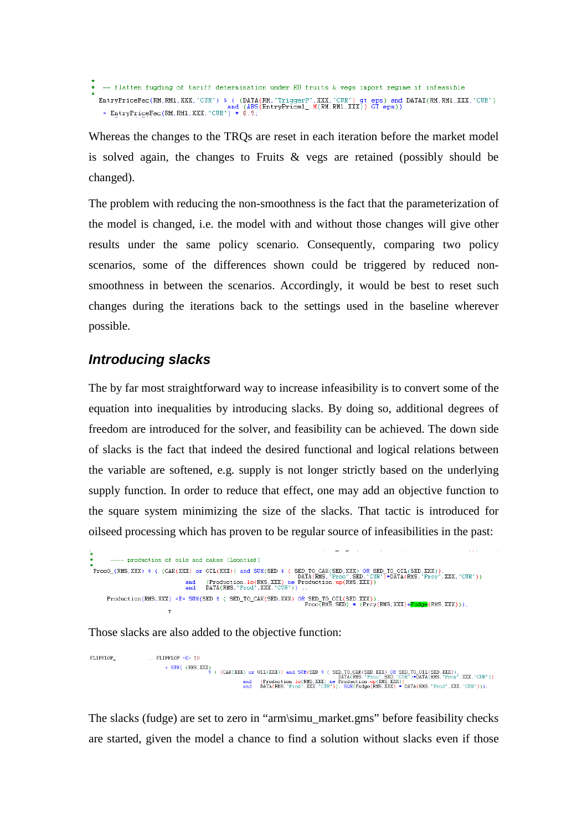- flatten fugding of tariff determination under EU fruits & vegs import regime if infeasible  $\begin{array}{lll} \texttt{EntryPriceFac}(\texttt{RM}, \texttt{RM1}, \texttt{XXX}, \texttt{"CUR"}) & ( \texttt{DATA}(\texttt{RM}, \texttt{"TriggerP", \texttt{XXX}, \texttt{"CUR"}}) \texttt{gt } \texttt{eps} ) \texttt{ and } \texttt{DATA}(\texttt{RM}, \texttt{RMI}, \texttt{XXX}, \texttt{"CUR"}) \\ & = \texttt{EntryPriceFac}(\texttt{RM}, \texttt{RM1}, \texttt{XXX}, \texttt{"CUR"}) & 0.9; \\ & = \texttt{EntryPriceFac}(\texttt{RM}, \texttt{RM1}, \texttt{XXX}, \texttt{"CUR$ 

Whereas the changes to the TRQs are reset in each iteration before the market model is solved again, the changes to Fruits & vegs are retained (possibly should be changed).

The problem with reducing the non-smoothness is the fact that the parameterization of the model is changed, i.e. the model with and without those changes will give other results under the same policy scenario. Consequently, comparing two policy scenarios, some of the differences shown could be triggered by reduced nonsmoothness in between the scenarios. Accordingly, it would be best to reset such changes during the iterations back to the settings used in the baseline wherever possible.

#### *Introducing slacks*

The by far most straightforward way to increase infeasibility is to convert some of the equation into inequalities by introducing slacks. By doing so, additional degrees of freedom are introduced for the solver, and feasibility can be achieved. The down side of slacks is the fact that indeed the desired functional and logical relations between the variable are softened, e.g. supply is not longer strictly based on the underlying supply function. In order to reduce that effect, one may add an objective function to the square system minimizing the size of the slacks. That tactic is introduced for oilseed processing which has proven to be regular source of infeasibilities in the past:

```
---- production of oils and cakes (Leontief)
* ProcO_(RMS, XXX) $ ( (CAK(XXX) or OIL(XXX)) and SUM(SED $ ( SED_TO_CAK(SED, XXX) OR SED_TO_OIL(SED, XXX)),<br>DATA(RMS, "Proc", SED_"CUR")*DATA(RMS, "Proc", SED_"CUR")*DATA(RMS, "Proy", XXX, "CUR"))<br>and DATA(RMS, "Prod", XX
         \texttt{Production}(\texttt{RMS},\texttt{XXX}) \texttt{ = E = SUM(SED \texttt{SED} \texttt{S} (\texttt{SED\_CAK}(\texttt{SED},\texttt{XXX}) \texttt{OR} \texttt{SED\_OOLI}(\texttt{SED},\texttt{XXX})),\newline \texttt{Proc}(\texttt{RMS},\texttt{SED}) * (\texttt{Prcy}(\texttt{RMS},\texttt{XXX}) + \textbf{Fudge}(\texttt{RMS},\texttt{XXX})))};
```
Those slacks are also added to the objective function:

FLIPFLOP\_  $ETIERTOP = F = 10$ + SUM( (RMS.XXX) (CAK(XXX) or OIL(XXX)) and SUM(SED \$ ( SED TO CAK(SED XXX) OR SED TO OIL(SED XXX)).<br>+ SUM( (RMS.XXX) & ( (CAK(XXX) or OIL(XXX) and SUM(SED \$ (  $\overline{\text{DATA(RMS}}$  "Froe" SED "CUR")\*DATA(RMS. "Froy" XXX "CUR"))<br>an

The slacks (fudge) are set to zero in "arm\simu\_market.gms" before feasibility checks are started, given the model a chance to find a solution without slacks even if those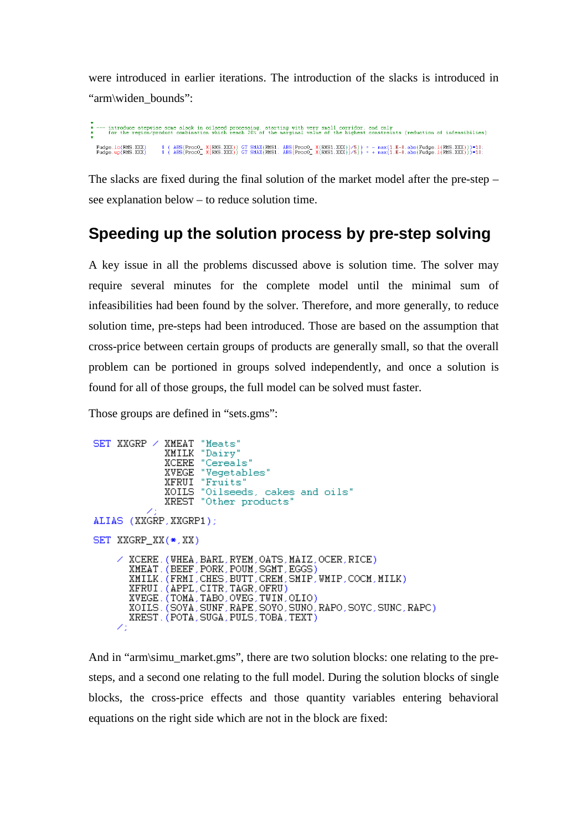were introduced in earlier iterations. The introduction of the slacks is introduced in "arm\widen\_bounds":

introduce stepwise some slack in oilseed processing, starting with very small corridor, and only<br>for the region/product combination which reach 20% of the marginal value of the highest constraints (reduction of infeasibili  $(ABS(Proof\_M(RMS,XXX)) GT SMAX(RMS1, ABC(Proof\_M(RMS,XXX))/5)) = - \max(1.E-8, abs(Fudge.1(RMS,XXX)))*10;$ <br>  $(ABS(Proof\_M(RMS,XXX)) GT SMAX(RMS1, ABC(Proof\_M(RMS,XXX))/5)) = + \max(1.E-8, abs(Fudge.1(RMS,XXX)))*10;$ Fudge.lo(RMS,XXX)<br>Fudge.up(RMS,XXX)

The slacks are fixed during the final solution of the market model after the pre-step – see explanation below – to reduce solution time.

# **Speeding up the solution process by pre-step solving**

A key issue in all the problems discussed above is solution time. The solver may require several minutes for the complete model until the minimal sum of infeasibilities had been found by the solver. Therefore, and more generally, to reduce solution time, pre-steps had been introduced. Those are based on the assumption that cross-price between certain groups of products are generally small, so that the overall problem can be portioned in groups solved independently, and once a solution is found for all of those groups, the full model can be solved must faster.

Those groups are defined in "sets.gms":

```
\begin{minipage}{.4\linewidth} \begin{tabular}{l} \bf SET \; XXGRP \; \it{\small \color{red} \it XMEAT} \; \; \mbox{``Meats''} \\ \textbf{XMLK} \; \; \mbox{``Dairy''} \end{tabular} \end{minipage}XCERE "Cereals"
                           XCENE "Vegetables"<br>XVEGE "Vegetables"<br>XFRUI "Fruits"<br>XOILS "Oilseeds, cakes and oils"
                           XREST "Other products"
ALIAS (XXGRP, XXGRP1);
SET XXGRP_XX(*, XX)
             XCERE. (WHEA, BARL, RYEM, OATS, MAIZ, OCER, RICE)<br>XMEAT. (BEEF, PORK, POUM, SGMT, EGGS)
              XMILK. (FRMI, CHES, BUTT, CREM, SMIP, WMIP, COCM, MILK)
             XFRUI. (APPL.CITR.TAGR.OFRU)<br>XVEGE. (TOMA.TABO.OVEG.TWIN.OLIO)<br>XVEGE. (TOMA.TABO.OVEG.TWIN.OLIO)<br>XOILS. (SOYA.SUNF.RAPE.SOYO.SUNC.RAPO.SOYC.SUNC.RAPC)
              XREST. (POTA, SUGA, PULS, TOBA, TEXT)
         Z.
```
And in "arm\simu\_market.gms", there are two solution blocks: one relating to the presteps, and a second one relating to the full model. During the solution blocks of single blocks, the cross-price effects and those quantity variables entering behavioral equations on the right side which are not in the block are fixed: